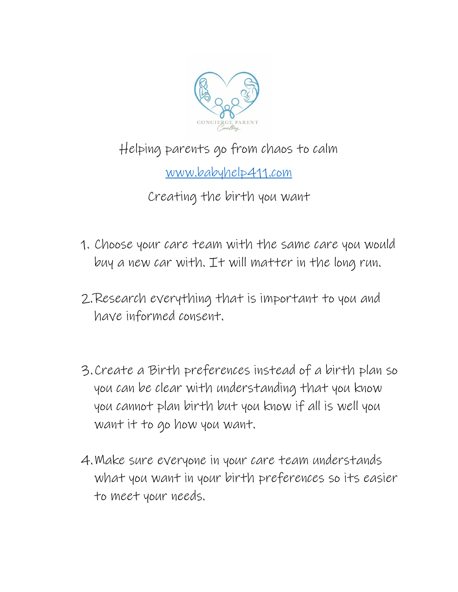

## Helping parents go from chaos to calm

[www.babyhelp411.com](http://www.babyhelp411.com/)

Creating the birth you want

- 1. Choose your care team with the same care you would buy a new car with. It will matter in the long run.
- 2.Research everything that is important to you and have informed consent.
- 3.Create a Birth preferences instead of a birth plan so you can be clear with understanding that you know you cannot plan birth but you know if all is well you want it to go how you want.
- 4.Make sure everyone in your care team understands what you want in your birth preferences so its easier to meet your needs.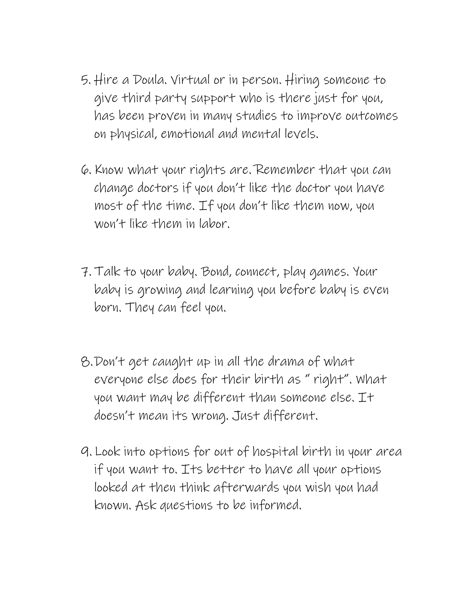- 5. Hire a Doula. Virtual or in person. Hiring someone to give third party support who is there just for you, has been proven in many studies to improve outcomes on physical, emotional and mental levels.
- 6. Know what your rights are. Remember that you can change doctors if you don't like the doctor you have most of the time. If you don't like them now, you won't like them in labor.
- 7. Talk to your baby. Bond, connect, play games. Your baby is growing and learning you before baby is even born. They can feel you.
- 8.Don't get caught up in all the drama of what everyone else does for their birth as " right". What you want may be different than someone else. It doesn't mean its wrong. Just different.
- 9. Look into options for out of hospital birth in your area if you want to. Its better to have all your options looked at then think afterwards you wish you had known. Ask questions to be informed.